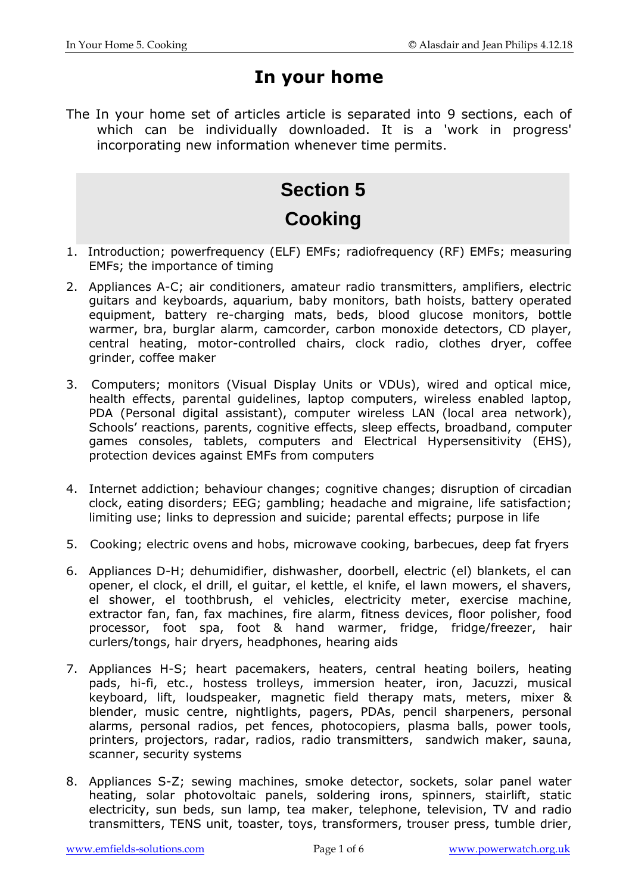# **In your home**

The In your home set of articles article is separated into 9 sections, each of which can be individually downloaded. It is a 'work in progress' incorporating new information whenever time permits.

# **Section 5 Cooking**

- 1. Introduction; powerfrequency (ELF) EMFs; radiofrequency (RF) EMFs; measuring EMFs; the importance of timing
- 2. Appliances A-C; air conditioners, amateur radio transmitters, amplifiers, electric guitars and keyboards, aquarium, baby monitors, bath hoists, battery operated equipment, battery re-charging mats, beds, blood glucose monitors, bottle warmer, bra, burglar alarm, camcorder, carbon monoxide detectors, CD player, central heating, motor-controlled chairs, clock radio, clothes dryer, coffee grinder, coffee maker
- 3. Computers; monitors (Visual Display Units or VDUs), wired and optical mice, health effects, parental guidelines, laptop computers, wireless enabled laptop, PDA (Personal digital assistant), computer wireless LAN (local area network), Schools' reactions, parents, cognitive effects, sleep effects, broadband, computer games consoles, tablets, computers and Electrical Hypersensitivity (EHS), protection devices against EMFs from computers
- 4. Internet addiction; behaviour changes; cognitive changes; disruption of circadian clock, eating disorders; EEG; gambling; headache and migraine, life satisfaction; limiting use; links to depression and suicide; parental effects; purpose in life
- 5. Cooking; electric ovens and hobs, microwave cooking, barbecues, deep fat fryers
- 6. Appliances D-H; dehumidifier, dishwasher, doorbell, electric (el) blankets, el can opener, el clock, el drill, el guitar, el kettle, el knife, el lawn mowers, el shavers, el shower, el toothbrush, el vehicles, electricity meter, exercise machine, extractor fan, fan, fax machines, fire alarm, fitness devices, floor polisher, food processor, foot spa, foot & hand warmer, fridge, fridge/freezer, hair curlers/tongs, hair dryers, headphones, hearing aids
- 7. Appliances H-S; heart pacemakers, heaters, central heating boilers, heating pads, hi-fi, etc., hostess trolleys, immersion heater, iron, Jacuzzi, musical keyboard, lift, loudspeaker, magnetic field therapy mats, meters, mixer & blender, music centre, nightlights, pagers, PDAs, pencil sharpeners, personal alarms, personal radios, pet fences, photocopiers, plasma balls, power tools, printers, projectors, radar, radios, radio transmitters, sandwich maker, sauna, scanner, security systems
- 8. Appliances S-Z; sewing machines, smoke detector, sockets, solar panel water heating, solar photovoltaic panels, soldering irons, spinners, stairlift, static electricity, sun beds, sun lamp, tea maker, telephone, television, TV and radio transmitters, TENS unit, toaster, toys, transformers, trouser press, tumble drier,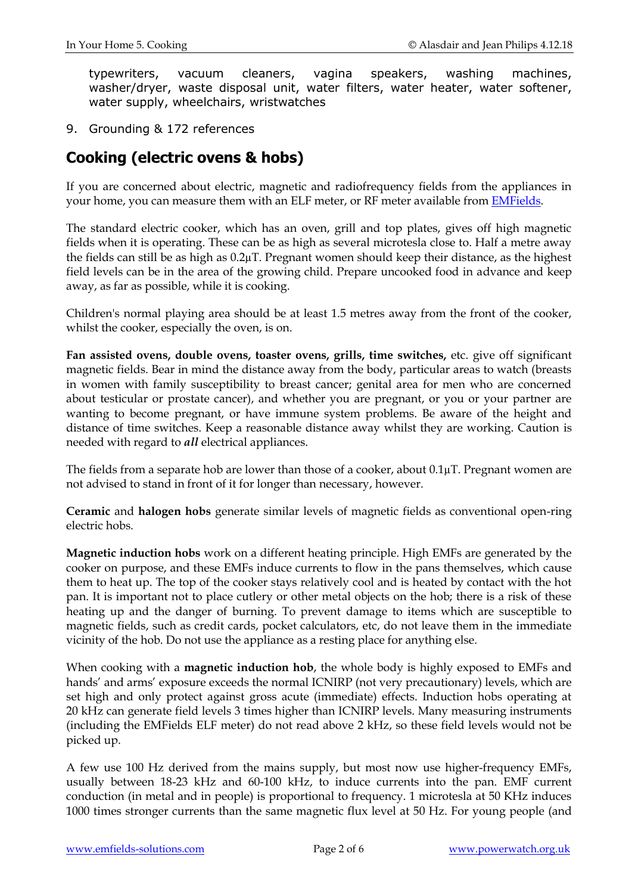typewriters, vacuum cleaners, vagina speakers, washing machines, washer/dryer, waste disposal unit, water filters, water heater, water softener, water supply, wheelchairs, wristwatches

9. Grounding & 172 references

#### **Cooking (electric ovens & hobs)**

If you are concerned about electric, magnetic and radiofrequency fields from the appliances in your home, you can measure them with an ELF meter, or RF meter available from **EMFields**.

The standard electric cooker, which has an oven, grill and top plates, gives off high magnetic fields when it is operating. These can be as high as several microtesla close to. Half a metre away the fields can still be as high as 0.2µT. Pregnant women should keep their distance, as the highest field levels can be in the area of the growing child. Prepare uncooked food in advance and keep away, as far as possible, while it is cooking.

Children's normal playing area should be at least 1.5 metres away from the front of the cooker, whilst the cooker, especially the oven, is on.

**Fan assisted ovens, double ovens, toaster ovens, grills, time switches,** etc. give off significant magnetic fields. Bear in mind the distance away from the body, particular areas to watch (breasts in women with family susceptibility to breast cancer; genital area for men who are concerned about testicular or prostate cancer), and whether you are pregnant, or you or your partner are wanting to become pregnant, or have immune system problems. Be aware of the height and distance of time switches. Keep a reasonable distance away whilst they are working. Caution is needed with regard to *all* electrical appliances.

The fields from a separate hob are lower than those of a cooker, about 0.1µT. Pregnant women are not advised to stand in front of it for longer than necessary, however.

**Ceramic** and **halogen hobs** generate similar levels of magnetic fields as conventional open-ring electric hobs.

**Magnetic induction hobs** work on a different heating principle. High EMFs are generated by the cooker on purpose, and these EMFs induce currents to flow in the pans themselves, which cause them to heat up. The top of the cooker stays relatively cool and is heated by contact with the hot pan. It is important not to place cutlery or other metal objects on the hob; there is a risk of these heating up and the danger of burning. To prevent damage to items which are susceptible to magnetic fields, such as credit cards, pocket calculators, etc, do not leave them in the immediate vicinity of the hob. Do not use the appliance as a resting place for anything else.

When cooking with a **magnetic induction hob**, the whole body is highly exposed to EMFs and hands' and arms' exposure exceeds the normal ICNIRP (not very precautionary) levels, which are set high and only protect against gross acute (immediate) effects. Induction hobs operating at 20 kHz can generate field levels 3 times higher than ICNIRP levels. Many measuring instruments (including the EMFields ELF meter) do not read above 2 kHz, so these field levels would not be picked up.

A few use 100 Hz derived from the mains supply, but most now use higher-frequency EMFs, usually between 18-23 kHz and 60-100 kHz, to induce currents into the pan. EMF current conduction (in metal and in people) is proportional to frequency. 1 microtesla at 50 KHz induces 1000 times stronger currents than the same magnetic flux level at 50 Hz. For young people (and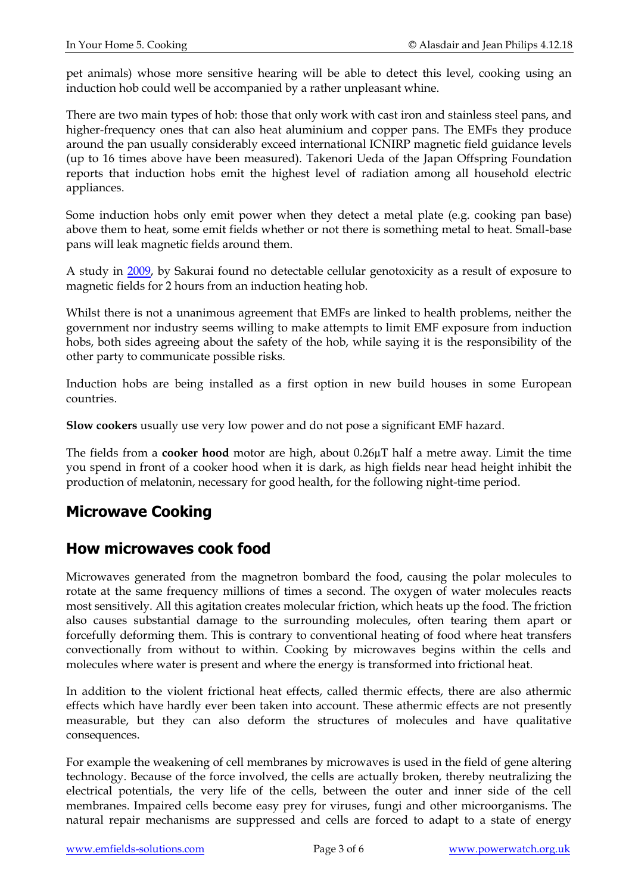pet animals) whose more sensitive hearing will be able to detect this level, cooking using an induction hob could well be accompanied by a rather unpleasant whine.

There are two main types of hob: those that only work with cast iron and stainless steel pans, and higher-frequency ones that can also heat aluminium and copper pans. The EMFs they produce around the pan usually considerably exceed international ICNIRP magnetic field guidance levels (up to 16 times above have been measured). Takenori Ueda of the Japan Offspring Foundation reports that induction hobs emit the highest level of radiation among all household electric appliances.

Some induction hobs only emit power when they detect a metal plate (e.g. cooking pan base) above them to heat, some emit fields whether or not there is something metal to heat. Small-base pans will leak magnetic fields around them.

A study in [2009,](http://www.ncbi.nlm.nih.gov/pubmed/19863202) by Sakurai found no detectable cellular genotoxicity as a result of exposure to magnetic fields for 2 hours from an induction heating hob.

Whilst there is not a unanimous agreement that EMFs are linked to health problems, neither the government nor industry seems willing to make attempts to limit EMF exposure from induction hobs, both sides agreeing about the safety of the hob, while saying it is the responsibility of the other party to communicate possible risks.

Induction hobs are being installed as a first option in new build houses in some European countries.

**Slow cookers** usually use very low power and do not pose a significant EMF hazard.

The fields from a **cooker hood** motor are high, about 0.26µT half a metre away. Limit the time you spend in front of a cooker hood when it is dark, as high fields near head height inhibit the production of melatonin, necessary for good health, for the following night-time period.

## **Microwave Cooking**

#### **How microwaves cook food**

Microwaves generated from the magnetron bombard the food, causing the polar molecules to rotate at the same frequency millions of times a second. The oxygen of water molecules reacts most sensitively. All this agitation creates molecular friction, which heats up the food. The friction also causes substantial damage to the surrounding molecules, often tearing them apart or forcefully deforming them. This is contrary to conventional heating of food where heat transfers convectionally from without to within. Cooking by microwaves begins within the cells and molecules where water is present and where the energy is transformed into frictional heat.

In addition to the violent frictional heat effects, called thermic effects, there are also athermic effects which have hardly ever been taken into account. These athermic effects are not presently measurable, but they can also deform the structures of molecules and have qualitative consequences.

For example the weakening of cell membranes by microwaves is used in the field of gene altering technology. Because of the force involved, the cells are actually broken, thereby neutralizing the electrical potentials, the very life of the cells, between the outer and inner side of the cell membranes. Impaired cells become easy prey for viruses, fungi and other microorganisms. The natural repair mechanisms are suppressed and cells are forced to adapt to a state of energy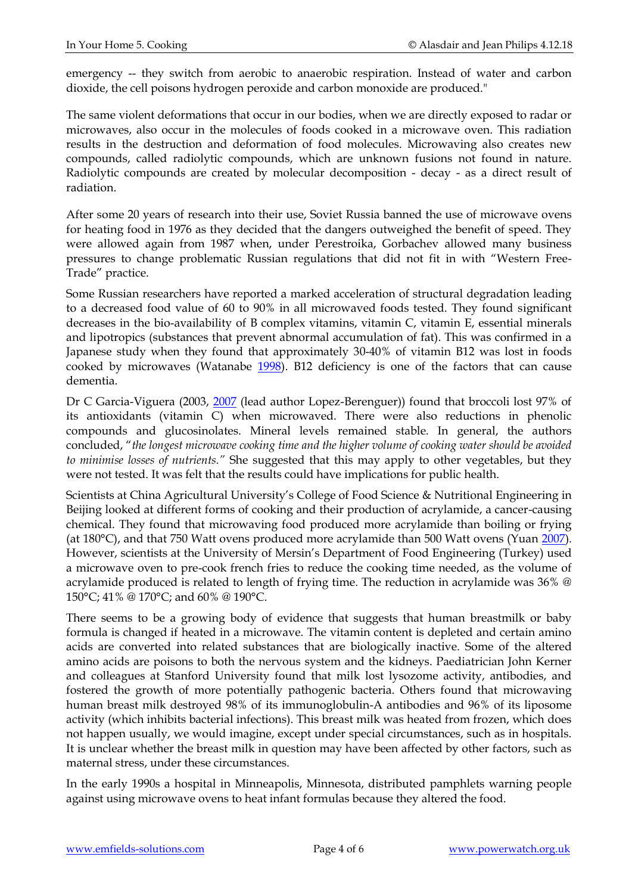emergency -- they switch from aerobic to anaerobic respiration. Instead of water and carbon dioxide, the cell poisons hydrogen peroxide and carbon monoxide are produced."

The same violent deformations that occur in our bodies, when we are directly exposed to radar or microwaves, also occur in the molecules of foods cooked in a microwave oven. This radiation results in the destruction and deformation of food molecules. Microwaving also creates new compounds, called radiolytic compounds, which are unknown fusions not found in nature. Radiolytic compounds are created by molecular decomposition - decay - as a direct result of radiation.

After some 20 years of research into their use, Soviet Russia banned the use of microwave ovens for heating food in 1976 as they decided that the dangers outweighed the benefit of speed. They were allowed again from 1987 when, under Perestroika, Gorbachev allowed many business pressures to change problematic Russian regulations that did not fit in with "Western Free-Trade" practice.

Some Russian researchers have reported a marked acceleration of structural degradation leading to a decreased food value of 60 to 90% in all microwaved foods tested. They found significant decreases in the bio-availability of B complex vitamins, vitamin C, vitamin E, essential minerals and lipotropics (substances that prevent abnormal accumulation of fat). This was confirmed in a Japanese study when they found that approximately 30-40% of vitamin B12 was lost in foods cooked by microwaves (Watanabe [1998\)](http://www.ncbi.nlm.nih.gov/pubmed/10554220). B12 deficiency is one of the factors that can cause dementia.

Dr C Garcia-Viguera (2003, [2007](http://www.ncbi.nlm.nih.gov/sites/entrez?Db=pubmed&Cmd=ShowDetailView&TermToSearch=17979232&ordinalpos=2&itool=EntrezSystem2.PEntrez.Pubmed.Pubmed_ResultsPanel.Pubmed_RVDocSum) (lead author Lopez-Berenguer)) found that broccoli lost 97% of its antioxidants (vitamin C) when microwaved. There were also reductions in phenolic compounds and glucosinolates. Mineral levels remained stable. In general, the authors concluded, "*the longest microwave cooking time and the higher volume of cooking water should be avoided to minimise losses of nutrients."* She suggested that this may apply to other vegetables, but they were not tested. It was felt that the results could have implications for public health.

Scientists at China Agricultural University's College of Food Science & Nutritional Engineering in Beijing looked at different forms of cooking and their production of acrylamide, a cancer-causing chemical. They found that microwaving food produced more acrylamide than boiling or frying (at 180°C), and that 750 Watt ovens produced more acrylamide than 500 Watt ovens (Yuan [2007\)](http://www.ncbi.nlm.nih.gov/pubmed/17995763?ordinalpos=3&itool=EntrezSystem2.PEntrez.Pubmed.Pubmed_ResultsPanel.Pubmed_RVDocSum). However, scientists at the University of Mersin's Department of Food Engineering (Turkey) used a microwave oven to pre-cook french fries to reduce the cooking time needed, as the volume of acrylamide produced is related to length of frying time. The reduction in acrylamide was 36% @ 150°C; 41% @ 170°C; and 60% @ 190°C.

There seems to be a growing body of evidence that suggests that human breastmilk or baby formula is changed if heated in a microwave. The vitamin content is depleted and certain amino acids are converted into related substances that are biologically inactive. Some of the altered amino acids are poisons to both the nervous system and the kidneys. Paediatrician John Kerner and colleagues at Stanford University found that milk lost lysozome activity, antibodies, and fostered the growth of more potentially pathogenic bacteria. Others found that microwaving human breast milk destroyed 98% of its immunoglobulin-A antibodies and 96% of its liposome activity (which inhibits bacterial infections). This breast milk was heated from frozen, which does not happen usually, we would imagine, except under special circumstances, such as in hospitals. It is unclear whether the breast milk in question may have been affected by other factors, such as maternal stress, under these circumstances.

In the early 1990s a hospital in Minneapolis, Minnesota, distributed pamphlets warning people against using microwave ovens to heat infant formulas because they altered the food.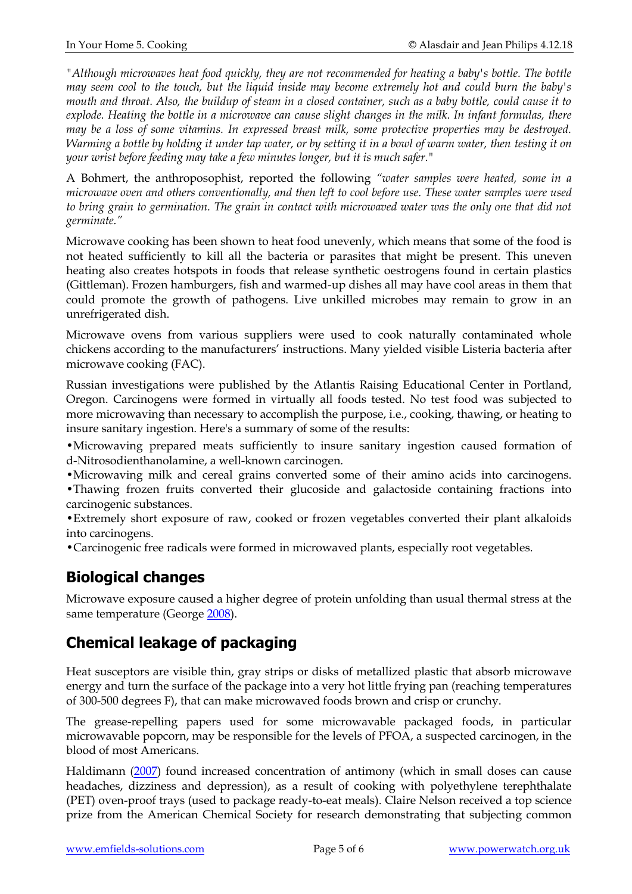*"Although microwaves heat food quickly, they are not recommended for heating a baby's bottle. The bottle may seem cool to the touch, but the liquid inside may become extremely hot and could burn the baby's mouth and throat. Also, the buildup of steam in a closed container, such as a baby bottle, could cause it to explode. Heating the bottle in a microwave can cause slight changes in the milk. In infant formulas, there may be a loss of some vitamins. In expressed breast milk, some protective properties may be destroyed. Warming a bottle by holding it under tap water, or by setting it in a bowl of warm water, then testing it on your wrist before feeding may take a few minutes longer, but it is much safer."*

A Bohmert, the anthroposophist, reported the following *"water samples were heated, some in a microwave oven and others conventionally, and then left to cool before use. These water samples were used to bring grain to germination. The grain in contact with microwaved water was the only one that did not germinate."*

Microwave cooking has been shown to heat food unevenly, which means that some of the food is not heated sufficiently to kill all the bacteria or parasites that might be present. This uneven heating also creates hotspots in foods that release synthetic oestrogens found in certain plastics (Gittleman). Frozen hamburgers, fish and warmed-up dishes all may have cool areas in them that could promote the growth of pathogens. Live unkilled microbes may remain to grow in an unrefrigerated dish.

Microwave ovens from various suppliers were used to cook naturally contaminated whole chickens according to the manufacturers' instructions. Many yielded visible Listeria bacteria after microwave cooking (FAC).

Russian investigations were published by the Atlantis Raising Educational Center in Portland, Oregon. Carcinogens were formed in virtually all foods tested. No test food was subjected to more microwaving than necessary to accomplish the purpose, i.e., cooking, thawing, or heating to insure sanitary ingestion. Here's a summary of some of the results:

•Microwaving prepared meats sufficiently to insure sanitary ingestion caused formation of d-Nitrosodienthanolamine, a well-known carcinogen.

•Microwaving milk and cereal grains converted some of their amino acids into carcinogens. •Thawing frozen fruits converted their glucoside and galactoside containing fractions into carcinogenic substances.

•Extremely short exposure of raw, cooked or frozen vegetables converted their plant alkaloids into carcinogens.

•Carcinogenic free radicals were formed in microwaved plants, especially root vegetables.

#### **Biological changes**

Microwave exposure caused a higher degree of protein unfolding than usual thermal stress at the same temperature (George [2008\)](http://www.ncbi.nlm.nih.gov/pubmed/18240290?ordinalpos=4&itool=EntrezSystem2.PEntrez.Pubmed.Pubmed_ResultsPanel.Pubmed_RVDocSum).

## **Chemical leakage of packaging**

Heat susceptors are visible thin, gray strips or disks of metallized plastic that absorb microwave energy and turn the surface of the package into a very hot little frying pan (reaching temperatures of 300-500 degrees F), that can make microwaved foods brown and crisp or crunchy.

The grease-repelling papers used for some microwavable packaged foods, in particular microwavable popcorn, may be responsible for the levels of PFOA, a suspected carcinogen, in the blood of most Americans.

Haldimann [\(2007\)](http://www.ncbi.nlm.nih.gov/sites/entrez?Db=pubmed&Cmd=ShowDetailView&TermToSearch=17613073&ordinalpos=1&itool=EntrezSystem2.PEntrez.Pubmed.Pubmed_ResultsPanel.Pubmed_RVDocSum) found increased concentration of antimony (which in small doses can cause headaches, dizziness and depression), as a result of cooking with polyethylene terephthalate (PET) oven-proof trays (used to package ready-to-eat meals). Claire Nelson received a top science prize from the American Chemical Society for research demonstrating that subjecting common